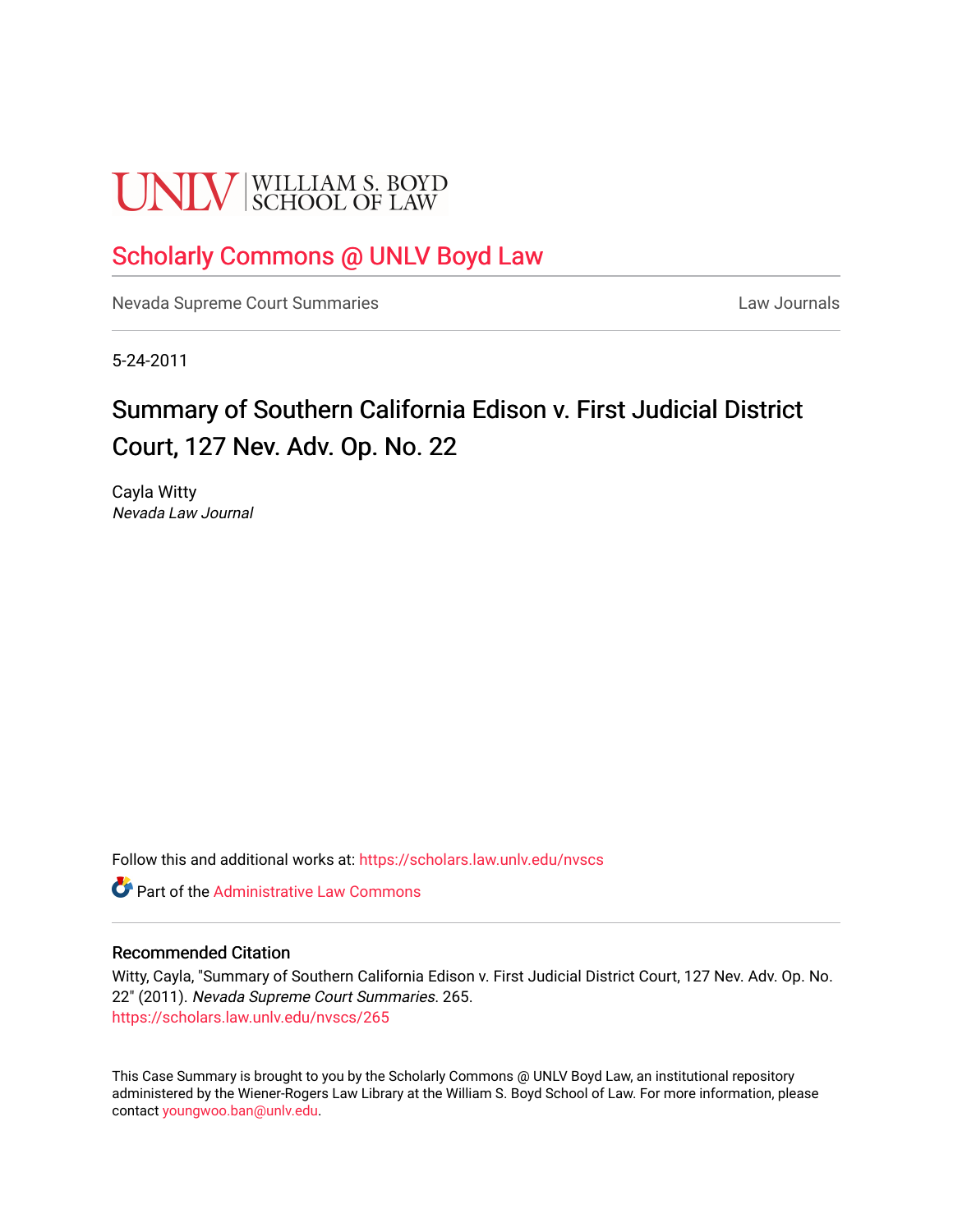# **UNLV** SCHOOL OF LAW

# [Scholarly Commons @ UNLV Boyd Law](https://scholars.law.unlv.edu/)

[Nevada Supreme Court Summaries](https://scholars.law.unlv.edu/nvscs) **Law Journals** Law Journals

5-24-2011

# Summary of Southern California Edison v. First Judicial District Court, 127 Nev. Adv. Op. No. 22

Cayla Witty Nevada Law Journal

Follow this and additional works at: [https://scholars.law.unlv.edu/nvscs](https://scholars.law.unlv.edu/nvscs?utm_source=scholars.law.unlv.edu%2Fnvscs%2F265&utm_medium=PDF&utm_campaign=PDFCoverPages)

**C** Part of the Administrative Law Commons

#### Recommended Citation

Witty, Cayla, "Summary of Southern California Edison v. First Judicial District Court, 127 Nev. Adv. Op. No. 22" (2011). Nevada Supreme Court Summaries. 265. [https://scholars.law.unlv.edu/nvscs/265](https://scholars.law.unlv.edu/nvscs/265?utm_source=scholars.law.unlv.edu%2Fnvscs%2F265&utm_medium=PDF&utm_campaign=PDFCoverPages)

This Case Summary is brought to you by the Scholarly Commons @ UNLV Boyd Law, an institutional repository administered by the Wiener-Rogers Law Library at the William S. Boyd School of Law. For more information, please contact [youngwoo.ban@unlv.edu](mailto:youngwoo.ban@unlv.edu).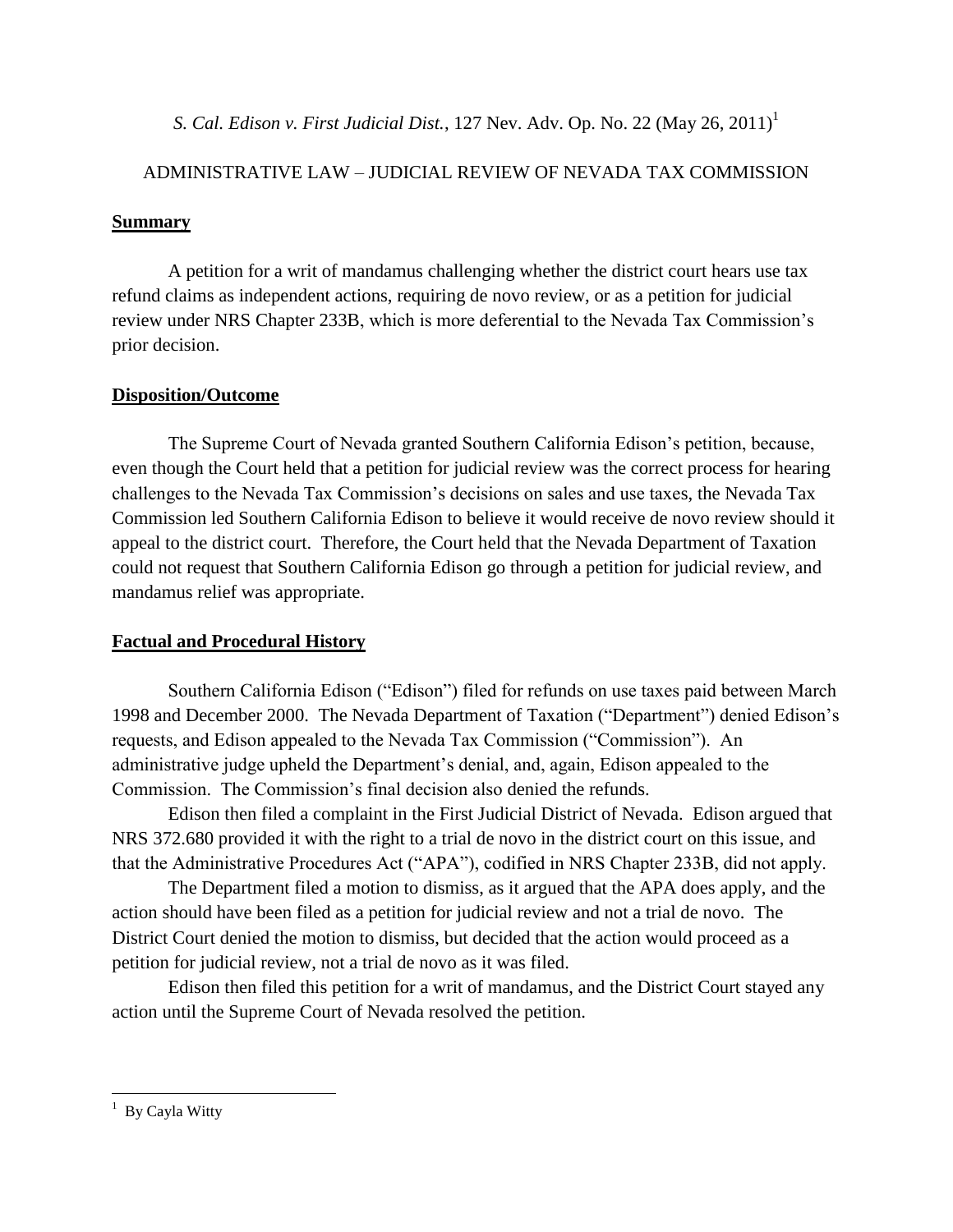*S. Cal. Edison v. First Judicial Dist.*, 127 Nev. Adv. Op. No. 22 (May 26, 2011) 1

## ADMINISTRATIVE LAW – JUDICIAL REVIEW OF NEVADA TAX COMMISSION

### **Summary**

A petition for a writ of mandamus challenging whether the district court hears use tax refund claims as independent actions, requiring de novo review, or as a petition for judicial review under NRS Chapter 233B, which is more deferential to the Nevada Tax Commission"s prior decision.

## **Disposition/Outcome**

The Supreme Court of Nevada granted Southern California Edison"s petition, because, even though the Court held that a petition for judicial review was the correct process for hearing challenges to the Nevada Tax Commission"s decisions on sales and use taxes, the Nevada Tax Commission led Southern California Edison to believe it would receive de novo review should it appeal to the district court. Therefore, the Court held that the Nevada Department of Taxation could not request that Southern California Edison go through a petition for judicial review, and mandamus relief was appropriate.

# **Factual and Procedural History**

Southern California Edison ("Edison") filed for refunds on use taxes paid between March 1998 and December 2000. The Nevada Department of Taxation ("Department") denied Edison"s requests, and Edison appealed to the Nevada Tax Commission ("Commission"). An administrative judge upheld the Department"s denial, and, again, Edison appealed to the Commission. The Commission"s final decision also denied the refunds.

Edison then filed a complaint in the First Judicial District of Nevada. Edison argued that NRS 372.680 provided it with the right to a trial de novo in the district court on this issue, and that the Administrative Procedures Act ("APA"), codified in NRS Chapter 233B, did not apply.

The Department filed a motion to dismiss, as it argued that the APA does apply, and the action should have been filed as a petition for judicial review and not a trial de novo. The District Court denied the motion to dismiss, but decided that the action would proceed as a petition for judicial review, not a trial de novo as it was filed.

Edison then filed this petition for a writ of mandamus, and the District Court stayed any action until the Supreme Court of Nevada resolved the petition.

 $\overline{\phantom{a}}$  $1$  By Cayla Witty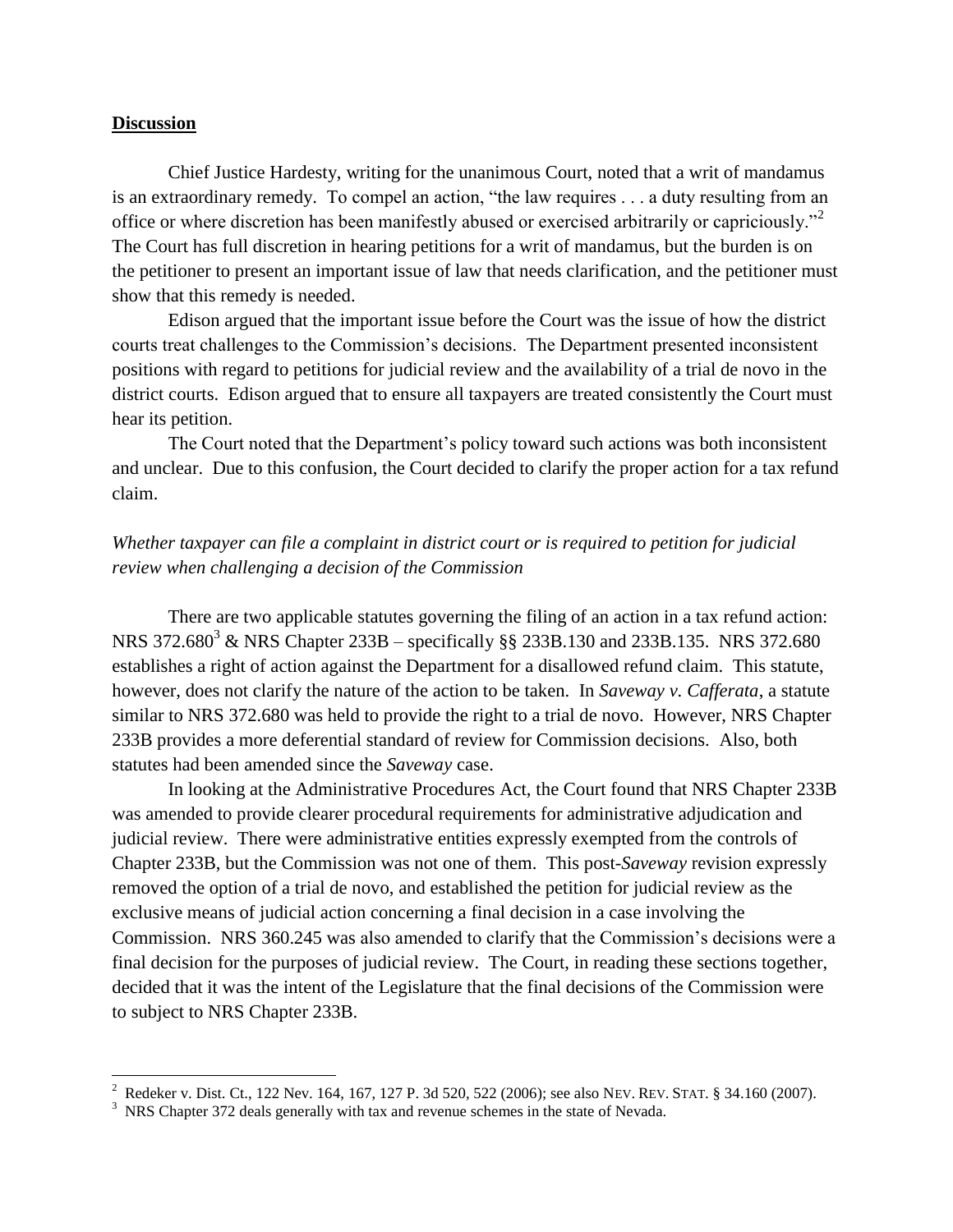#### **Discussion**

 $\overline{\phantom{a}}$ 

Chief Justice Hardesty, writing for the unanimous Court, noted that a writ of mandamus is an extraordinary remedy. To compel an action, "the law requires . . . a duty resulting from an office or where discretion has been manifestly abused or exercised arbitrarily or capriciously."<sup>2</sup> The Court has full discretion in hearing petitions for a writ of mandamus, but the burden is on the petitioner to present an important issue of law that needs clarification, and the petitioner must show that this remedy is needed.

Edison argued that the important issue before the Court was the issue of how the district courts treat challenges to the Commission's decisions. The Department presented inconsistent positions with regard to petitions for judicial review and the availability of a trial de novo in the district courts. Edison argued that to ensure all taxpayers are treated consistently the Court must hear its petition.

The Court noted that the Department's policy toward such actions was both inconsistent and unclear. Due to this confusion, the Court decided to clarify the proper action for a tax refund claim.

#### *Whether taxpayer can file a complaint in district court or is required to petition for judicial review when challenging a decision of the Commission*

There are two applicable statutes governing the filing of an action in a tax refund action: NRS  $372.680^3$  & NRS Chapter  $233B$  – specifically §§  $233B.130$  and  $233B.135$ . NRS  $372.680$ establishes a right of action against the Department for a disallowed refund claim. This statute, however, does not clarify the nature of the action to be taken. In *Saveway v. Cafferata*, a statute similar to NRS 372.680 was held to provide the right to a trial de novo. However, NRS Chapter 233B provides a more deferential standard of review for Commission decisions. Also, both statutes had been amended since the *Saveway* case.

In looking at the Administrative Procedures Act, the Court found that NRS Chapter 233B was amended to provide clearer procedural requirements for administrative adjudication and judicial review. There were administrative entities expressly exempted from the controls of Chapter 233B, but the Commission was not one of them. This post-*Saveway* revision expressly removed the option of a trial de novo, and established the petition for judicial review as the exclusive means of judicial action concerning a final decision in a case involving the Commission. NRS 360.245 was also amended to clarify that the Commission"s decisions were a final decision for the purposes of judicial review. The Court, in reading these sections together, decided that it was the intent of the Legislature that the final decisions of the Commission were to subject to NRS Chapter 233B.

<sup>&</sup>lt;sup>2</sup> Redeker v. Dist. Ct., 122 Nev. 164, 167, 127 P. 3d 520, 522 (2006); see also NEV. REV. STAT. § 34.160 (2007).

<sup>&</sup>lt;sup>3</sup> NRS Chapter 372 deals generally with tax and revenue schemes in the state of Nevada.